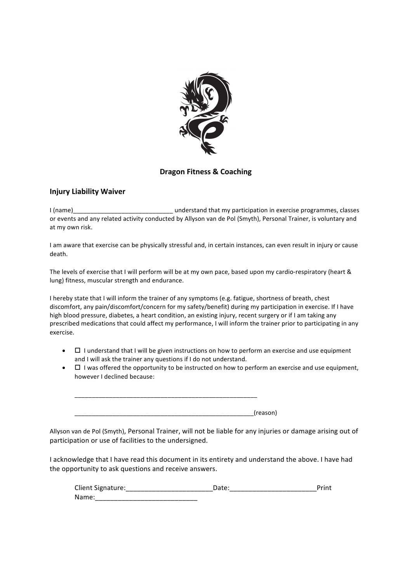

## **Dragon Fitness & Coaching**

## **Injury Liability Waiver**

I (name) The contract of the contract of that my participation in exercise programmes, classes or events and any related activity conducted by Allyson van de Pol (Smyth), Personal Trainer, is voluntary and at my own risk.

I am aware that exercise can be physically stressful and, in certain instances, can even result in injury or cause death. 

The levels of exercise that I will perform will be at my own pace, based upon my cardio-respiratory (heart & lung) fitness, muscular strength and endurance.

I hereby state that I will inform the trainer of any symptoms (e.g. fatigue, shortness of breath, chest discomfort, any pain/discomfort/concern for my safety/benefit) during my participation in exercise. If I have high blood pressure, diabetes, a heart condition, an existing injury, recent surgery or if I am taking any prescribed medications that could affect my performance, I will inform the trainer prior to participating in any exercise. 

- $\Box$  I understand that I will be given instructions on how to perform an exercise and use equipment and I will ask the trainer any questions if I do not understand.
- $\Box$  I was offered the opportunity to be instructed on how to perform an exercise and use equipment, however I declined because:

 $(reason)$ 

\_\_\_\_\_\_\_\_\_\_\_\_\_\_\_\_\_\_\_\_\_\_\_\_\_\_\_\_\_\_\_\_\_\_\_\_\_\_\_\_\_\_\_\_\_\_\_\_\_\_\_\_\_ 

Allyson van de Pol (Smyth), Personal Trainer, will not be liable for any injuries or damage arising out of participation or use of facilities to the undersigned.

I acknowledge that I have read this document in its entirety and understand the above. I have had the opportunity to ask questions and receive answers.

| Client Signature: |  |
|-------------------|--|
| Name              |  |